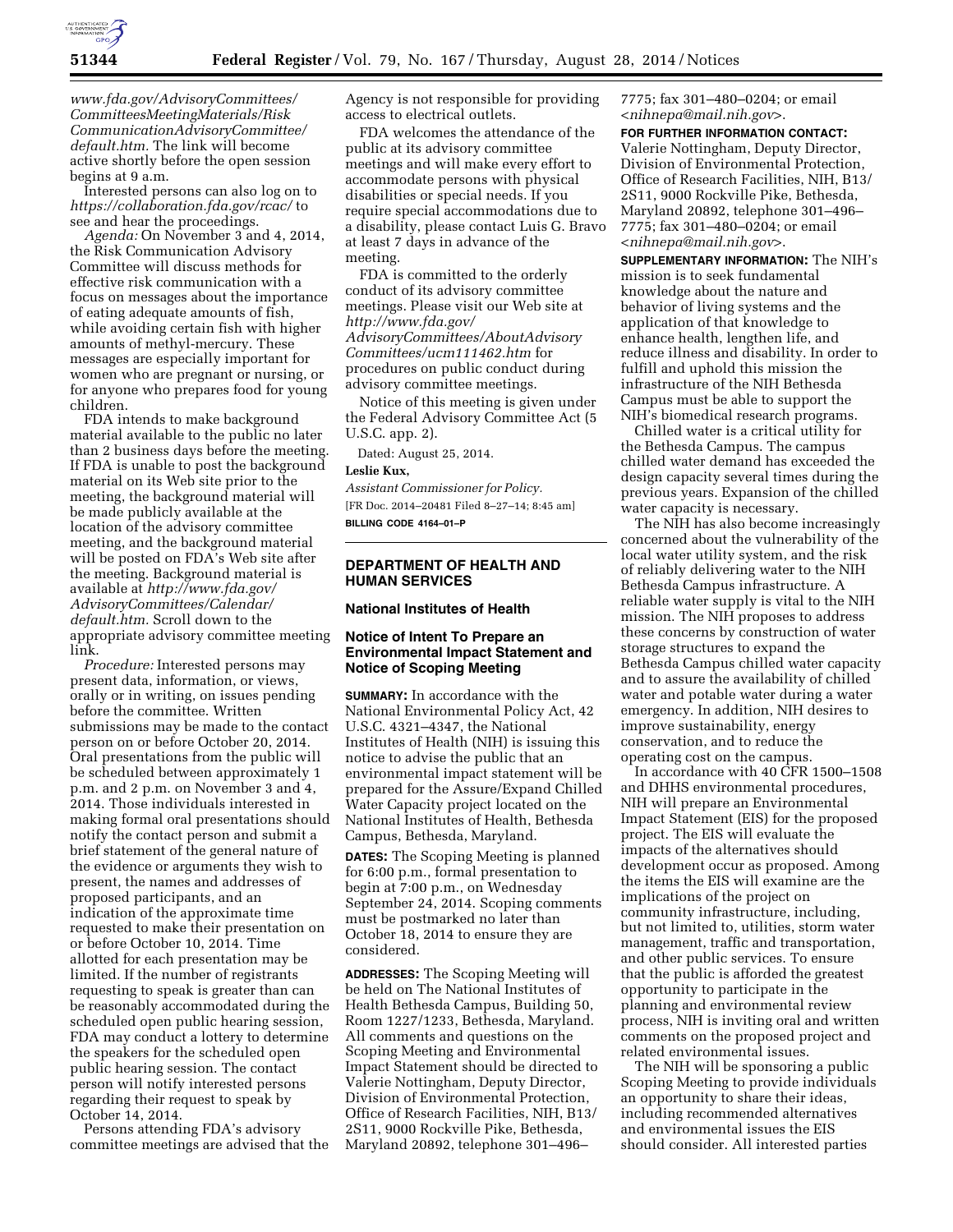

*[www.fda.gov/AdvisoryCommittees/](http://www.fda.gov/AdvisoryCommittees/CommitteesMeetingMaterials/RiskCommunicationAdvisoryCommittee/default.htm) [CommitteesMeetingMaterials/Risk](http://www.fda.gov/AdvisoryCommittees/CommitteesMeetingMaterials/RiskCommunicationAdvisoryCommittee/default.htm) [CommunicationAdvisoryCommittee/](http://www.fda.gov/AdvisoryCommittees/CommitteesMeetingMaterials/RiskCommunicationAdvisoryCommittee/default.htm) [default.htm.](http://www.fda.gov/AdvisoryCommittees/CommitteesMeetingMaterials/RiskCommunicationAdvisoryCommittee/default.htm)* The link will become active shortly before the open session begins at 9 a.m.

Interested persons can also log on to *<https://collaboration.fda.gov/rcac/>*to see and hear the proceedings.

*Agenda:* On November 3 and 4, 2014, the Risk Communication Advisory Committee will discuss methods for effective risk communication with a focus on messages about the importance of eating adequate amounts of fish, while avoiding certain fish with higher amounts of methyl-mercury. These messages are especially important for women who are pregnant or nursing, or for anyone who prepares food for young children.

FDA intends to make background material available to the public no later than 2 business days before the meeting. If FDA is unable to post the background material on its Web site prior to the meeting, the background material will be made publicly available at the location of the advisory committee meeting, and the background material will be posted on FDA's Web site after the meeting. Background material is available at *[http://www.fda.gov/](http://www.fda.gov/AdvisoryCommittees/Calendar/default.htm) [AdvisoryCommittees/Calendar/](http://www.fda.gov/AdvisoryCommittees/Calendar/default.htm) [default.htm.](http://www.fda.gov/AdvisoryCommittees/Calendar/default.htm)* Scroll down to the appropriate advisory committee meeting link.

*Procedure:* Interested persons may present data, information, or views, orally or in writing, on issues pending before the committee. Written submissions may be made to the contact person on or before October 20, 2014. Oral presentations from the public will be scheduled between approximately 1 p.m. and 2 p.m. on November 3 and 4, 2014. Those individuals interested in making formal oral presentations should notify the contact person and submit a brief statement of the general nature of the evidence or arguments they wish to present, the names and addresses of proposed participants, and an indication of the approximate time requested to make their presentation on or before October 10, 2014. Time allotted for each presentation may be limited. If the number of registrants requesting to speak is greater than can be reasonably accommodated during the scheduled open public hearing session, FDA may conduct a lottery to determine the speakers for the scheduled open public hearing session. The contact person will notify interested persons regarding their request to speak by October 14, 2014.

Persons attending FDA's advisory committee meetings are advised that the Agency is not responsible for providing access to electrical outlets.

FDA welcomes the attendance of the public at its advisory committee meetings and will make every effort to accommodate persons with physical disabilities or special needs. If you require special accommodations due to a disability, please contact Luis G. Bravo at least 7 days in advance of the meeting.

FDA is committed to the orderly conduct of its advisory committee meetings. Please visit our Web site at *[http://www.fda.gov/](http://www.fda.gov/AdvisoryCommittees/AboutAdvisoryCommittees/ucm111462.htm) [AdvisoryCommittees/AboutAdvisory](http://www.fda.gov/AdvisoryCommittees/AboutAdvisoryCommittees/ucm111462.htm) [Committees/ucm111462.htm](http://www.fda.gov/AdvisoryCommittees/AboutAdvisoryCommittees/ucm111462.htm)* for procedures on public conduct during advisory committee meetings.

Notice of this meeting is given under

the Federal Advisory Committee Act (5 U.S.C. app. 2).

Dated: August 25, 2014.

## **Leslie Kux,**

*Assistant Commissioner for Policy.*  [FR Doc. 2014–20481 Filed 8–27–14; 8:45 am] **BILLING CODE 4164–01–P** 

# **DEPARTMENT OF HEALTH AND HUMAN SERVICES**

# **National Institutes of Health**

# **Notice of Intent To Prepare an Environmental Impact Statement and Notice of Scoping Meeting**

**SUMMARY:** In accordance with the National Environmental Policy Act, 42 U.S.C. 4321–4347, the National Institutes of Health (NIH) is issuing this notice to advise the public that an environmental impact statement will be prepared for the Assure/Expand Chilled Water Capacity project located on the National Institutes of Health, Bethesda Campus, Bethesda, Maryland.

**DATES:** The Scoping Meeting is planned for 6:00 p.m., formal presentation to begin at 7:00 p.m., on Wednesday September 24, 2014. Scoping comments must be postmarked no later than October 18, 2014 to ensure they are considered.

**ADDRESSES:** The Scoping Meeting will be held on The National Institutes of Health Bethesda Campus, Building 50, Room 1227/1233, Bethesda, Maryland. All comments and questions on the Scoping Meeting and Environmental Impact Statement should be directed to Valerie Nottingham, Deputy Director, Division of Environmental Protection, Office of Research Facilities, NIH, B13/ 2S11, 9000 Rockville Pike, Bethesda, Maryland 20892, telephone 301–496–

7775; fax 301–480–0204; or email <*[nihnepa@mail.nih.gov](mailto:nihnepa@mail.nih.gov)*>.

**FOR FURTHER INFORMATION CONTACT:**  Valerie Nottingham, Deputy Director, Division of Environmental Protection, Office of Research Facilities, NIH, B13/ 2S11, 9000 Rockville Pike, Bethesda, Maryland 20892, telephone 301–496– 7775; fax 301–480–0204; or email <*[nihnepa@mail.nih.gov](mailto:nihnepa@mail.nih.gov)*>.

**SUPPLEMENTARY INFORMATION:** The NIH's mission is to seek fundamental knowledge about the nature and behavior of living systems and the application of that knowledge to enhance health, lengthen life, and reduce illness and disability. In order to fulfill and uphold this mission the infrastructure of the NIH Bethesda Campus must be able to support the NIH's biomedical research programs.

Chilled water is a critical utility for the Bethesda Campus. The campus chilled water demand has exceeded the design capacity several times during the previous years. Expansion of the chilled water capacity is necessary.

The NIH has also become increasingly concerned about the vulnerability of the local water utility system, and the risk of reliably delivering water to the NIH Bethesda Campus infrastructure. A reliable water supply is vital to the NIH mission. The NIH proposes to address these concerns by construction of water storage structures to expand the Bethesda Campus chilled water capacity and to assure the availability of chilled water and potable water during a water emergency. In addition, NIH desires to improve sustainability, energy conservation, and to reduce the operating cost on the campus.

In accordance with 40 CFR 1500–1508 and DHHS environmental procedures, NIH will prepare an Environmental Impact Statement (EIS) for the proposed project. The EIS will evaluate the impacts of the alternatives should development occur as proposed. Among the items the EIS will examine are the implications of the project on community infrastructure, including, but not limited to, utilities, storm water management, traffic and transportation, and other public services. To ensure that the public is afforded the greatest opportunity to participate in the planning and environmental review process, NIH is inviting oral and written comments on the proposed project and related environmental issues.

The NIH will be sponsoring a public Scoping Meeting to provide individuals an opportunity to share their ideas, including recommended alternatives and environmental issues the EIS should consider. All interested parties